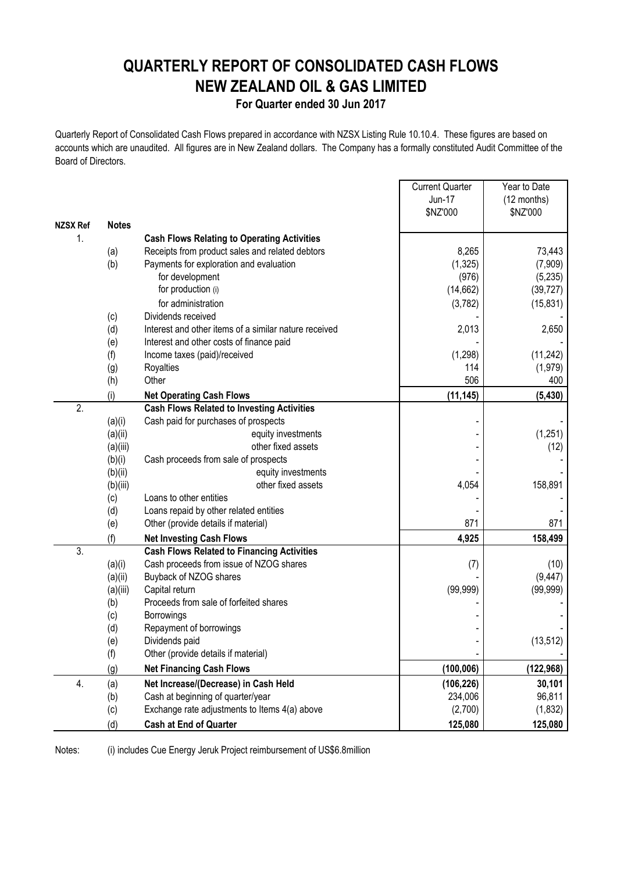# **QUARTERLY REPORT OF CONSOLIDATED CASH FLOWS NEW ZEALAND OIL & GAS LIMITED**

### **For Quarter ended 30 Jun 2017**

Quarterly Report of Consolidated Cash Flows prepared in accordance with NZSX Listing Rule 10.10.4. These figures are based on accounts which are unaudited. All figures are in New Zealand dollars. The Company has a formally constituted Audit Committee of the Board of Directors.

 $\blacksquare$ 

|                 |              |                                                       | <b>Current Quarter</b> | Year to Date |
|-----------------|--------------|-------------------------------------------------------|------------------------|--------------|
|                 |              |                                                       | Jun-17                 | (12 months)  |
| <b>NZSX Ref</b> | <b>Notes</b> |                                                       | \$NZ'000               | \$NZ'000     |
| $\mathbf{1}$ .  |              | <b>Cash Flows Relating to Operating Activities</b>    |                        |              |
|                 | (a)          | Receipts from product sales and related debtors       | 8,265                  | 73,443       |
|                 | (b)          | Payments for exploration and evaluation               | (1, 325)               | (7,909)      |
|                 |              | for development                                       | (976)                  | (5,235)      |
|                 |              | for production (i)                                    | (14, 662)              | (39, 727)    |
|                 |              | for administration                                    | (3,782)                | (15, 831)    |
|                 | (c)          | Dividends received                                    |                        |              |
|                 | (d)          | Interest and other items of a similar nature received | 2,013                  | 2,650        |
|                 | (e)          | Interest and other costs of finance paid              |                        |              |
|                 | (f)          | Income taxes (paid)/received                          | (1, 298)               | (11, 242)    |
|                 | (g)          | Royalties                                             | 114                    | (1, 979)     |
|                 | (h)          | Other                                                 | 506                    | 400          |
|                 | (i)          | <b>Net Operating Cash Flows</b>                       | (11, 145)              | (5, 430)     |
| 2.              |              | <b>Cash Flows Related to Investing Activities</b>     |                        |              |
|                 | (a)(i)       | Cash paid for purchases of prospects                  |                        |              |
|                 | (a)(ii)      | equity investments                                    |                        | (1,251)      |
|                 | (a)(iii)     | other fixed assets                                    |                        | (12)         |
|                 | (b)(i)       | Cash proceeds from sale of prospects                  |                        |              |
|                 | (b)(ii)      | equity investments                                    |                        |              |
|                 | (b)(iii)     | other fixed assets                                    | 4,054                  | 158,891      |
|                 | (c)          | Loans to other entities                               |                        |              |
|                 | (d)          | Loans repaid by other related entities                |                        |              |
|                 | (e)          | Other (provide details if material)                   | 871                    | 871          |
|                 | (f)          | <b>Net Investing Cash Flows</b>                       | 4,925                  | 158,499      |
| 3.              |              | <b>Cash Flows Related to Financing Activities</b>     |                        |              |
|                 | (a)(i)       | Cash proceeds from issue of NZOG shares               | (7)                    | (10)         |
|                 | (a)(ii)      | Buyback of NZOG shares                                |                        | (9, 447)     |
|                 | (a)(iii)     | Capital return                                        | (99, 999)              | (99, 999)    |
|                 | (b)          | Proceeds from sale of forfeited shares                |                        |              |
|                 | (c)          | Borrowings                                            |                        |              |
|                 | (d)          | Repayment of borrowings                               |                        |              |
|                 | (e)          | Dividends paid                                        |                        | (13, 512)    |
|                 | (f)          | Other (provide details if material)                   |                        |              |
|                 | (g)          | <b>Net Financing Cash Flows</b>                       | (100, 006)             | (122, 968)   |
| 4.              | (a)          | Net Increase/(Decrease) in Cash Held                  | (106, 226)             | 30,101       |
|                 | (b)          | Cash at beginning of quarter/year                     | 234,006                | 96,811       |
|                 | (c)          | Exchange rate adjustments to Items 4(a) above         | (2,700)                | (1, 832)     |
|                 | (d)          | <b>Cash at End of Quarter</b>                         | 125,080                | 125,080      |

Notes: (i) includes Cue Energy Jeruk Project reimbursement of US\$6.8million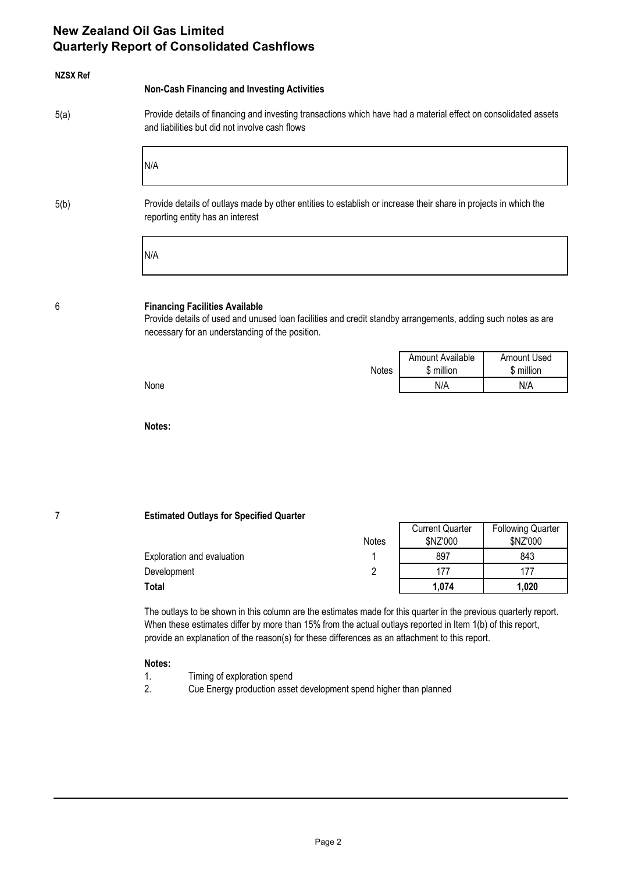# **New Zealand Oil Gas Limited Quarterly Report of Consolidated Cashflows**

| <b>NZSX Ref</b> | <b>Non-Cash Financing and Investing Activities</b>                                                                                                                                                       |       |                                       |                                  |  |  |
|-----------------|----------------------------------------------------------------------------------------------------------------------------------------------------------------------------------------------------------|-------|---------------------------------------|----------------------------------|--|--|
| 5(a)            | Provide details of financing and investing transactions which have had a material effect on consolidated assets<br>and liabilities but did not involve cash flows                                        |       |                                       |                                  |  |  |
|                 | N/A                                                                                                                                                                                                      |       |                                       |                                  |  |  |
| 5(b)            | Provide details of outlays made by other entities to establish or increase their share in projects in which the<br>reporting entity has an interest                                                      |       |                                       |                                  |  |  |
|                 | N/A                                                                                                                                                                                                      |       |                                       |                                  |  |  |
| 6               | <b>Financing Facilities Available</b><br>Provide details of used and unused loan facilities and credit standby arrangements, adding such notes as are<br>necessary for an understanding of the position. |       |                                       |                                  |  |  |
|                 |                                                                                                                                                                                                          | Notes | <b>Amount Available</b><br>\$ million | <b>Amount Used</b><br>\$ million |  |  |
|                 | None                                                                                                                                                                                                     |       | N/A                                   | N/A                              |  |  |
|                 | Notes:                                                                                                                                                                                                   |       |                                       |                                  |  |  |
|                 |                                                                                                                                                                                                          |       |                                       |                                  |  |  |
|                 |                                                                                                                                                                                                          |       |                                       |                                  |  |  |
| 7               | <b>Estimated Outlays for Specified Quarter</b>                                                                                                                                                           |       | <b>Current Quarter</b>                | <b>Following Quarter</b>         |  |  |
|                 |                                                                                                                                                                                                          | Notes | \$NZ'000                              | \$NZ'000                         |  |  |
|                 | Exploration and evaluation                                                                                                                                                                               | 1     | 897                                   | 843                              |  |  |

The outlays to be shown in this column are the estimates made for this quarter in the previous quarterly report. When these estimates differ by more than 15% from the actual outlays reported in Item 1(b) of this report, provide an explanation of the reason(s) for these differences as an attachment to this report.

Development 2 177 177 **Total 1,074 1,020**

#### **Notes:**

- 1. Timing of exploration spend
- 2. Cue Energy production asset development spend higher than planned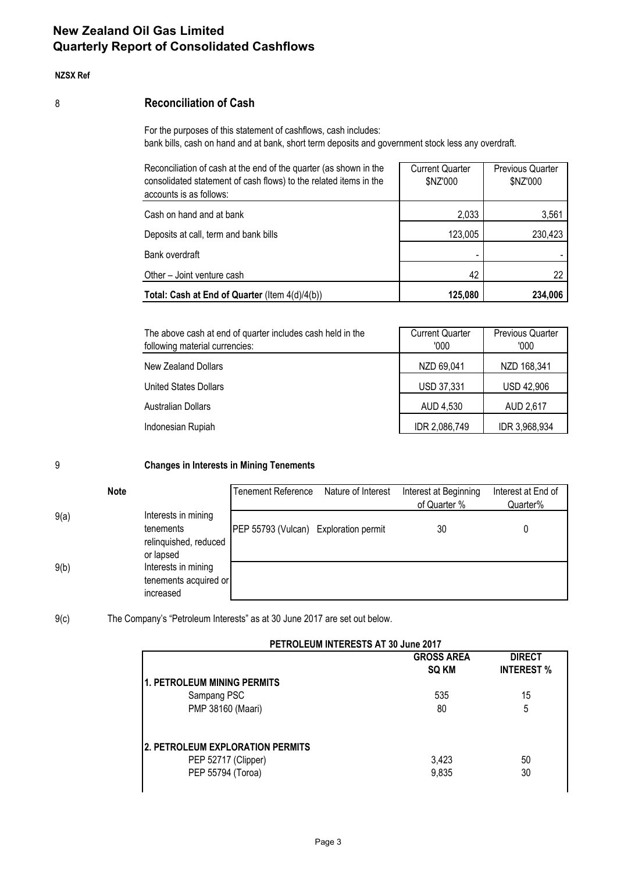# **New Zealand Oil Gas Limited Quarterly Report of Consolidated Cashflows**

#### **NZSX Ref**

### 8 **Reconciliation of Cash**

For the purposes of this statement of cashflows, cash includes: bank bills, cash on hand and at bank, short term deposits and government stock less any overdraft.

| Reconciliation of cash at the end of the quarter (as shown in the<br>consolidated statement of cash flows) to the related items in the<br>accounts is as follows: | <b>Current Quarter</b><br>\$NZ'000 | <b>Previous Quarter</b><br>\$NZ'000 |
|-------------------------------------------------------------------------------------------------------------------------------------------------------------------|------------------------------------|-------------------------------------|
| Cash on hand and at bank                                                                                                                                          | 2,033                              | 3,561                               |
| Deposits at call, term and bank bills                                                                                                                             | 123,005                            | 230,423                             |
| Bank overdraft                                                                                                                                                    |                                    |                                     |
| Other - Joint venture cash                                                                                                                                        | 42                                 | 22                                  |
| Total: Cash at End of Quarter (Item 4(d)/4(b))                                                                                                                    | 125,080                            | 234,006                             |

| The above cash at end of quarter includes cash held in the<br>following material currencies: | <b>Current Quarter</b><br>'000 | <b>Previous Quarter</b><br>'000 |  |
|----------------------------------------------------------------------------------------------|--------------------------------|---------------------------------|--|
| New Zealand Dollars                                                                          | NZD 69,041                     | NZD 168,341                     |  |
| United States Dollars                                                                        | USD 37,331                     | <b>USD 42,906</b>               |  |
| <b>Australian Dollars</b>                                                                    | AUD 4,530                      | AUD 2,617                       |  |
| Indonesian Rupiah                                                                            | IDR 2,086,749                  | IDR 3,968,934                   |  |

9 **Changes in Interests in Mining Tenements**

|      | <b>Note</b>                                                            | <b>Tenement Reference</b>             | Nature of Interest | Interest at Beginning<br>of Quarter % | Interest at End of<br>Quarter% |
|------|------------------------------------------------------------------------|---------------------------------------|--------------------|---------------------------------------|--------------------------------|
| 9(a) | Interests in mining<br>tenements<br>relinquished, reduced<br>or lapsed | PEP 55793 (Vulcan) Exploration permit |                    | 30                                    |                                |
| 9(b) | Interests in mining<br>tenements acquired or<br>increased              |                                       |                    |                                       |                                |

9(c) The Company's "Petroleum Interests" as at 30 June 2017 are set out below.

| PETROLEUM INTERESTS AT 30 June 2017 |                            |                                    |  |  |
|-------------------------------------|----------------------------|------------------------------------|--|--|
|                                     | <b>GROSS AREA</b><br>SQ KM | <b>DIRECT</b><br><b>INTEREST %</b> |  |  |
| <b>1. PETROLEUM MINING PERMITS</b>  |                            |                                    |  |  |
| Sampang PSC                         | 535                        | 15                                 |  |  |
| PMP 38160 (Maari)                   | 80                         | 5                                  |  |  |
| 2. PETROLEUM EXPLORATION PERMITS    |                            |                                    |  |  |
| PEP 52717 (Clipper)                 | 3,423                      | 50                                 |  |  |
| PEP 55794 (Toroa)                   | 9,835                      | 30                                 |  |  |